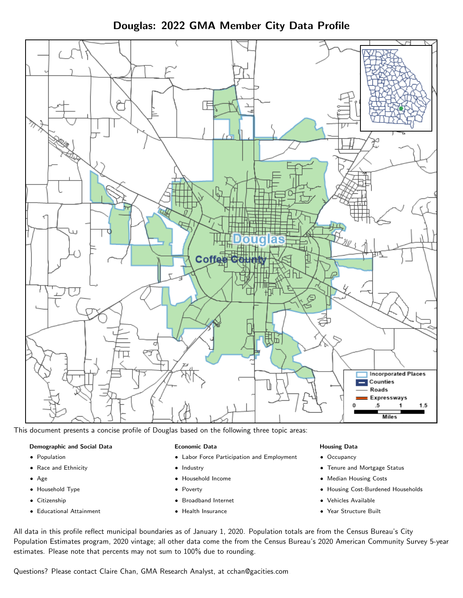Douglas: 2022 GMA Member City Data Profile



This document presents a concise profile of Douglas based on the following three topic areas:

#### Demographic and Social Data

- **•** Population
- Race and Ethnicity
- Age
- Household Type
- **Citizenship**
- Educational Attainment

#### Economic Data

- Labor Force Participation and Employment
- Industry
- Household Income
- Poverty
- Broadband Internet
- Health Insurance

#### Housing Data

- Occupancy
- Tenure and Mortgage Status
- Median Housing Costs
- Housing Cost-Burdened Households
- Vehicles Available
- Year Structure Built

All data in this profile reflect municipal boundaries as of January 1, 2020. Population totals are from the Census Bureau's City Population Estimates program, 2020 vintage; all other data come the from the Census Bureau's 2020 American Community Survey 5-year estimates. Please note that percents may not sum to 100% due to rounding.

Questions? Please contact Claire Chan, GMA Research Analyst, at [cchan@gacities.com.](mailto:cchan@gacities.com)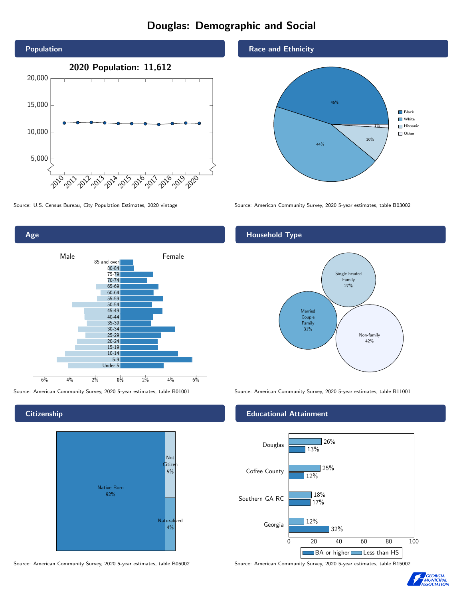# Douglas: Demographic and Social





**Citizenship** 



Source: American Community Survey, 2020 5-year estimates, table B05002 Source: American Community Survey, 2020 5-year estimates, table B15002

Race and Ethnicity



Source: U.S. Census Bureau, City Population Estimates, 2020 vintage Source: American Community Survey, 2020 5-year estimates, table B03002

## Household Type



Source: American Community Survey, 2020 5-year estimates, table B01001 Source: American Community Survey, 2020 5-year estimates, table B11001

#### Educational Attainment



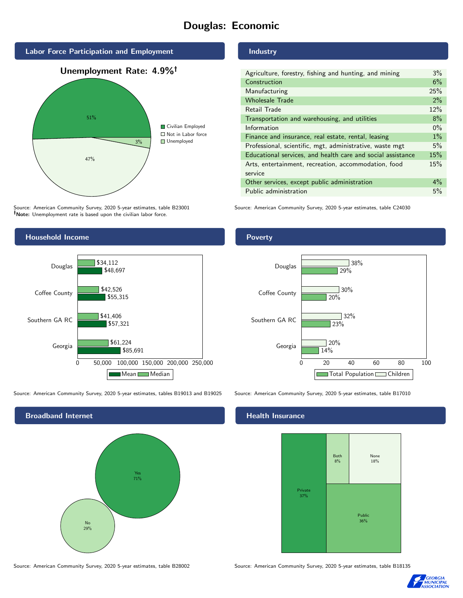# Douglas: Economic



Source: American Community Survey, 2020 5-year estimates, table B23001 Note: Unemployment rate is based upon the civilian labor force.

### Industry

| Agriculture, forestry, fishing and hunting, and mining      | $3\%$ |
|-------------------------------------------------------------|-------|
| Construction                                                | 6%    |
| Manufacturing                                               | 25%   |
| <b>Wholesale Trade</b>                                      | 2%    |
| Retail Trade                                                | 12%   |
| Transportation and warehousing, and utilities               | 8%    |
| Information                                                 | $0\%$ |
| Finance and insurance, real estate, rental, leasing         | $1\%$ |
| Professional, scientific, mgt, administrative, waste mgt    | 5%    |
| Educational services, and health care and social assistance | 15%   |
| Arts, entertainment, recreation, accommodation, food        | 15%   |
| service                                                     |       |
| Other services, except public administration                | $4\%$ |
| Public administration                                       | 5%    |

Source: American Community Survey, 2020 5-year estimates, table C24030



Source: American Community Survey, 2020 5-year estimates, tables B19013 and B19025 Source: American Community Survey, 2020 5-year estimates, table B17010



#### Health Insurance





#### **Poverty**



Source: American Community Survey, 2020 5-year estimates, table B28002 Source: American Community Survey, 2020 5-year estimates, table B18135